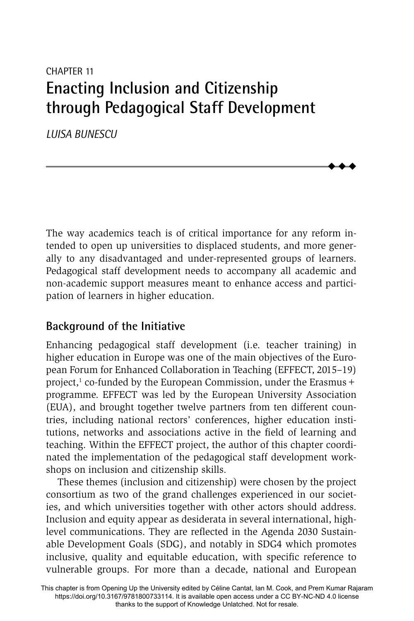# CHAPTER 11 **Enacting Inclusion and Citizenship through Pedagogical Staff Development**

*LUISA BUNESCU*

The way academics teach is of critical importance for any reform intended to open up universities to displaced students, and more generally to any disadvantaged and under-represented groups of learners. Pedagogical staff development needs to accompany all academic and non-academic support measures meant to enhance access and participation of learners in higher education.

 $\ddot{\bullet}$  $\blacklozenge$  $\blacklozenge$ 

## **Background of the Initiative**

Enhancing pedagogical staff development (i.e. teacher training) in higher education in Europe was one of the main objectives of the European Forum for Enhanced Collaboration in Teaching (EFFECT, 2015–19) project,<sup>1</sup> co-funded by the European Commission, under the Erasmus + programme. EFFECT was led by the European University Association (EUA), and brought together twelve partners from ten different countries, including national rectors' conferences, higher education institutions, networks and associations active in the field of learning and teaching. Within the EFFECT project, the author of this chapter coordinated the implementation of the pedagogical staff development workshops on inclusion and citizenship skills.

These themes (inclusion and citizenship) were chosen by the project consortium as two of the grand challenges experienced in our societies, and which universities together with other actors should address. Inclusion and equity appear as desiderata in several international, highlevel communications. They are reflected in the Agenda 2030 Sustainable Development Goals (SDG), and notably in SDG4 which promotes inclusive, quality and equitable education, with specific reference to vulnerable groups. For more than a decade, national and European

This chapter is from Opening Up the University edited by Céline Cantat, Ian M. Cook, and Prem Kumar Rajaram https://doi.org/10.3167/9781800733114. It is available open access under a CC BY-NC-ND 4.0 license thanks to the support of Knowledge Unlatched. Not for resale.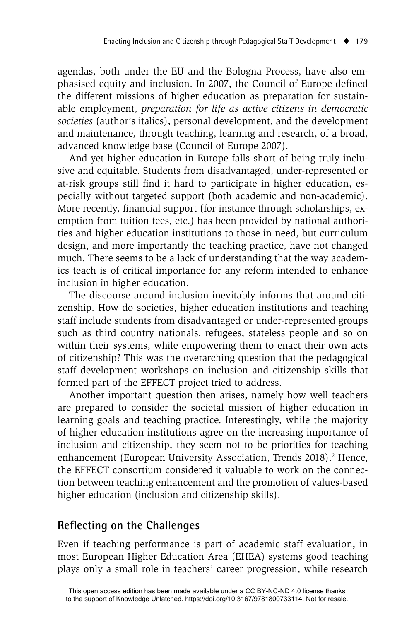agendas, both under the EU and the Bologna Process, have also emphasised equity and inclusion. In 2007, the Council of Europe defined the different missions of higher education as preparation for sustainable employment, *preparation for life as active citizens in democratic societies* (author's italics), personal development, and the development and maintenance, through teaching, learning and research, of a broad, advanced knowledge base (Council of Europe 2007).

And yet higher education in Europe falls short of being truly inclusive and equitable. Students from disadvantaged, under-represented or at-risk groups still find it hard to participate in higher education, especially without targeted support (both academic and non-academic). More recently, financial support (for instance through scholarships, exemption from tuition fees, etc.) has been provided by national authorities and higher education institutions to those in need, but curriculum design, and more importantly the teaching practice, have not changed much. There seems to be a lack of understanding that the way academics teach is of critical importance for any reform intended to enhance inclusion in higher education.

The discourse around inclusion inevitably informs that around citizenship. How do societies, higher education institutions and teaching staff include students from disadvantaged or under-represented groups such as third country nationals, refugees, stateless people and so on within their systems, while empowering them to enact their own acts of citizenship? This was the overarching question that the pedagogical staff development workshops on inclusion and citizenship skills that formed part of the EFFECT project tried to address.

Another important question then arises, namely how well teachers are prepared to consider the societal mission of higher education in learning goals and teaching practice. Interestingly, while the majority of higher education institutions agree on the increasing importance of inclusion and citizenship, they seem not to be priorities for teaching enhancement (European University Association, Trends 2018).<sup>2</sup> Hence, the EFFECT consortium considered it valuable to work on the connection between teaching enhancement and the promotion of values-based higher education (inclusion and citizenship skills).

# **Refl ecting on the Challenges**

Even if teaching performance is part of academic staff evaluation, in most European Higher Education Area (EHEA) systems good teaching plays only a small role in teachers' career progression, while research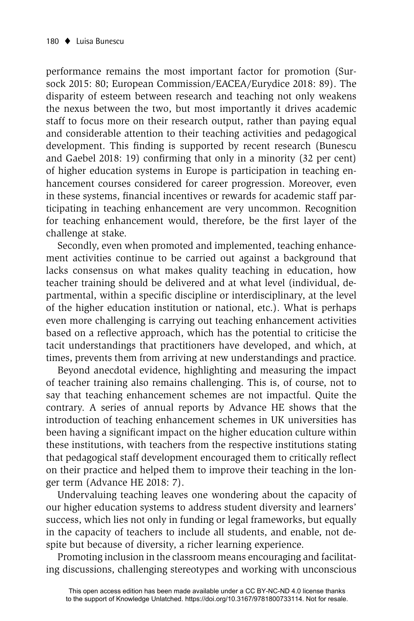performance remains the most important factor for promotion (Sursock 2015: 80; European Commission/EACEA/Eurydice 2018: 89). The disparity of esteem between research and teaching not only weakens the nexus between the two, but most importantly it drives academic staff to focus more on their research output, rather than paying equal and considerable attention to their teaching activities and pedagogical development. This finding is supported by recent research (Bunescu and Gaebel 2018: 19) confirming that only in a minority  $(32 \text{ per cent})$ of higher education systems in Europe is participation in teaching enhancement courses considered for career progression. Moreover, even in these systems, financial incentives or rewards for academic staff participating in teaching enhancement are very uncommon. Recognition for teaching enhancement would, therefore, be the first layer of the challenge at stake.

Secondly, even when promoted and implemented, teaching enhancement activities continue to be carried out against a background that lacks consensus on what makes quality teaching in education, how teacher training should be delivered and at what level (individual, departmental, within a specific discipline or interdisciplinary, at the level of the higher education institution or national, etc.). What is perhaps even more challenging is carrying out teaching enhancement activities based on a reflective approach, which has the potential to criticise the tacit understandings that practitioners have developed, and which, at times, prevents them from arriving at new understandings and practice.

Beyond anecdotal evidence, highlighting and measuring the impact of teacher training also remains challenging. This is, of course, not to say that teaching enhancement schemes are not impactful. Quite the contrary. A series of annual reports by Advance HE shows that the introduction of teaching enhancement schemes in UK universities has been having a significant impact on the higher education culture within these institutions, with teachers from the respective institutions stating that pedagogical staff development encouraged them to critically reflect on their practice and helped them to improve their teaching in the longer term (Advance HE 2018: 7).

Undervaluing teaching leaves one wondering about the capacity of our higher education systems to address student diversity and learners' success, which lies not only in funding or legal frameworks, but equally in the capacity of teachers to include all students, and enable, not despite but because of diversity, a richer learning experience.

Promoting inclusion in the classroom means encouraging and facilitating discussions, challenging stereotypes and working with unconscious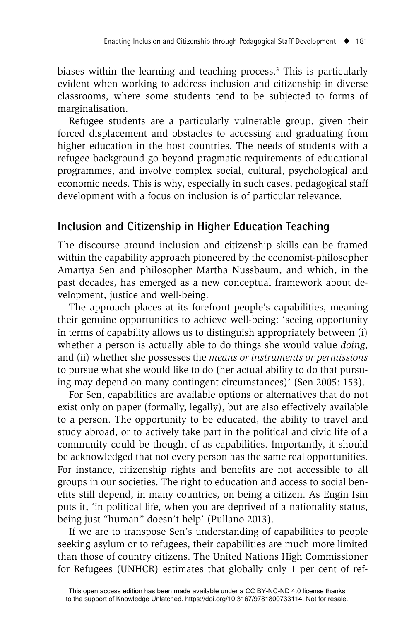biases within the learning and teaching process.<sup>3</sup> This is particularly evident when working to address inclusion and citizenship in diverse classrooms, where some students tend to be subjected to forms of marginalisation.

Refugee students are a particularly vulnerable group, given their forced displacement and obstacles to accessing and graduating from higher education in the host countries. The needs of students with a refugee background go beyond pragmatic requirements of educational programmes, and involve complex social, cultural, psychological and economic needs. This is why, especially in such cases, pedagogical staff development with a focus on inclusion is of particular relevance.

# **Inclusion and Citizenship in Higher Education Teaching**

The discourse around inclusion and citizenship skills can be framed within the capability approach pioneered by the economist-philosopher Amartya Sen and philosopher Martha Nussbaum, and which, in the past decades, has emerged as a new conceptual framework about development, justice and well-being.

The approach places at its forefront people's capabilities, meaning their genuine opportunities to achieve well-being: 'seeing opportunity in terms of capability allows us to distinguish appropriately between (i) whether a person is actually able to do things she would value *doing*, and (ii) whether she possesses the *means or instruments or permissions*  to pursue what she would like to do (her actual ability to do that pursuing may depend on many contingent circumstances)' (Sen 2005: 153).

For Sen, capabilities are available options or alternatives that do not exist only on paper (formally, legally), but are also effectively available to a person. The opportunity to be educated, the ability to travel and study abroad, or to actively take part in the political and civic life of a community could be thought of as capabilities. Importantly, it should be acknowledged that not every person has the same real opportunities. For instance, citizenship rights and benefits are not accessible to all groups in our societies. The right to education and access to social benefits still depend, in many countries, on being a citizen. As Engin Isin puts it, 'in political life, when you are deprived of a nationality status, being just "human" doesn't help' (Pullano 2013).

If we are to transpose Sen's understanding of capabilities to people seeking asylum or to refugees, their capabilities are much more limited than those of country citizens. The United Nations High Commissioner for Refugees (UNHCR) estimates that globally only 1 per cent of ref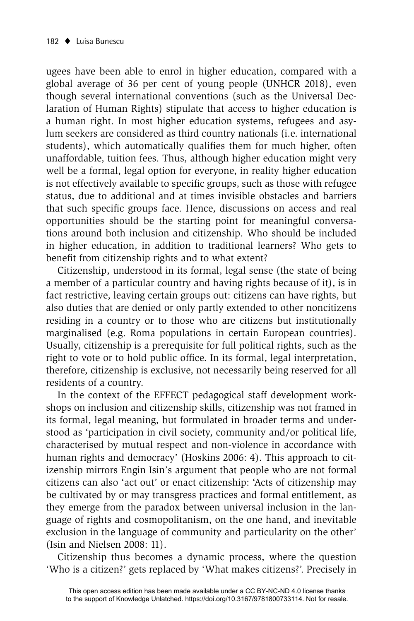ugees have been able to enrol in higher education, compared with a global average of 36 per cent of young people (UNHCR 2018), even though several international conventions (such as the Universal Declaration of Human Rights) stipulate that access to higher education is a human right. In most higher education systems, refugees and asylum seekers are considered as third country nationals (i.e. international students), which automatically qualifies them for much higher, often unaffordable, tuition fees. Thus, although higher education might very well be a formal, legal option for everyone, in reality higher education is not effectively available to specific groups, such as those with refugee status, due to additional and at times invisible obstacles and barriers that such specific groups face. Hence, discussions on access and real opportunities should be the starting point for meaningful conversations around both inclusion and citizenship. Who should be included in higher education, in addition to traditional learners? Who gets to benefit from citizenship rights and to what extent?

Citizenship, understood in its formal, legal sense (the state of being a member of a particular country and having rights because of it), is in fact restrictive, leaving certain groups out: citizens can have rights, but also duties that are denied or only partly extended to other noncitizens residing in a country or to those who are citizens but institutionally marginalised (e.g. Roma populations in certain European countries). Usually, citizenship is a prerequisite for full political rights, such as the right to vote or to hold public office. In its formal, legal interpretation, therefore, citizenship is exclusive, not necessarily being reserved for all residents of a country.

In the context of the EFFECT pedagogical staff development workshops on inclusion and citizenship skills, citizenship was not framed in its formal, legal meaning, but formulated in broader terms and understood as 'participation in civil society, community and/or political life, characterised by mutual respect and non-violence in accordance with human rights and democracy' (Hoskins 2006: 4). This approach to citizenship mirrors Engin Isin's argument that people who are not formal citizens can also 'act out' or enact citizenship: 'Acts of citizenship may be cultivated by or may transgress practices and formal entitlement, as they emerge from the paradox between universal inclusion in the language of rights and cosmopolitanism, on the one hand, and inevitable exclusion in the language of community and particularity on the other' (Isin and Nielsen 2008: 11).

Citizenship thus becomes a dynamic process, where the question 'Who is a citizen?' gets replaced by 'What makes citizens?'. Precisely in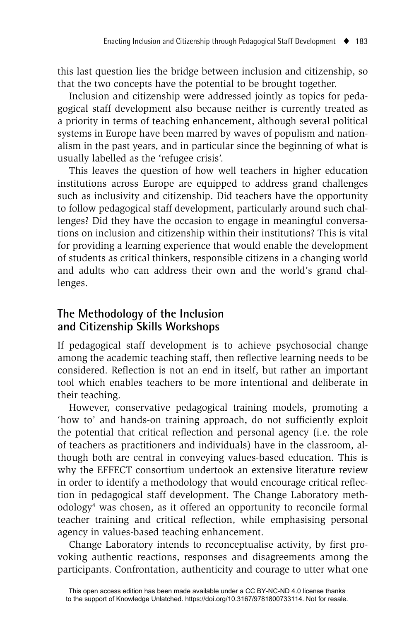this last question lies the bridge between inclusion and citizenship, so that the two concepts have the potential to be brought together.

Inclusion and citizenship were addressed jointly as topics for pedagogical staff development also because neither is currently treated as a priority in terms of teaching enhancement, although several political systems in Europe have been marred by waves of populism and nationalism in the past years, and in particular since the beginning of what is usually labelled as the 'refugee crisis'.

This leaves the question of how well teachers in higher education institutions across Europe are equipped to address grand challenges such as inclusivity and citizenship. Did teachers have the opportunity to follow pedagogical staff development, particularly around such challenges? Did they have the occasion to engage in meaningful conversations on inclusion and citizenship within their institutions? This is vital for providing a learning experience that would enable the development of students as critical thinkers, responsible citizens in a changing world and adults who can address their own and the world's grand challenges.

# **The Methodology of the Inclusion and Citizenship Skills Workshops**

If pedagogical staff development is to achieve psychosocial change among the academic teaching staff, then reflective learning needs to be considered. Reflection is not an end in itself, but rather an important tool which enables teachers to be more intentional and deliberate in their teaching.

However, conservative pedagogical training models, promoting a 'how to' and hands-on training approach, do not sufficiently exploit the potential that critical reflection and personal agency (i.e. the role of teachers as practitioners and individuals) have in the classroom, although both are central in conveying values-based education. This is why the EFFECT consortium undertook an extensive literature review in order to identify a methodology that would encourage critical reflection in pedagogical staff development. The Change Laboratory methodology4 was chosen, as it offered an opportunity to reconcile formal teacher training and critical reflection, while emphasising personal agency in values-based teaching enhancement.

Change Laboratory intends to reconceptualise activity, by first provoking authentic reactions, responses and disagreements among the participants. Confrontation, authenticity and courage to utter what one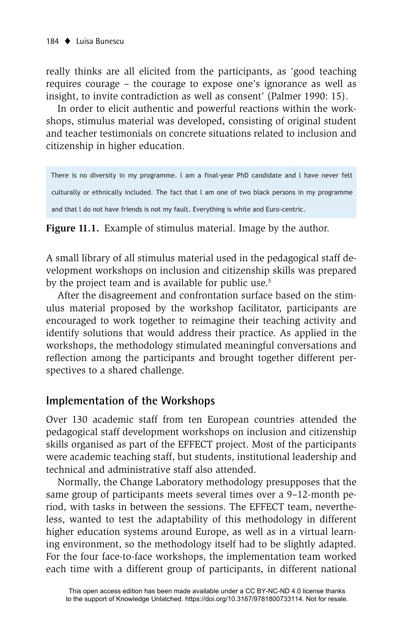really thinks are all elicited from the participants, as 'good teaching requires courage – the courage to expose one's ignorance as well as insight, to invite contradiction as well as consent' (Palmer 1990: 15).

In order to elicit authentic and powerful reactions within the workshops, stimulus material was developed, consisting of original student and teacher testimonials on concrete situations related to inclusion and citizenship in higher education.

There is no diversity in my programme. I am a final-year PhD candidate and I have never felt culturally or ethnically included. The fact that I am one of two black persons in my programme and that I do not have friends is not my fault. Everything is white and Euro-centric.

**Figure 11.1.** Example of stimulus material. Image by the author.

A small library of all stimulus material used in the pedagogical staff development workshops on inclusion and citizenship skills was prepared by the project team and is available for public use.<sup>5</sup>

After the disagreement and confrontation surface based on the stimulus material proposed by the workshop facilitator, participants are encouraged to work together to reimagine their teaching activity and identify solutions that would address their practice. As applied in the workshops, the methodology stimulated meaningful conversations and reflection among the participants and brought together different perspectives to a shared challenge.

## **Implementation of the Workshops**

Over 130 academic staff from ten European countries attended the pedagogical staff development workshops on inclusion and citizenship skills organised as part of the EFFECT project. Most of the participants were academic teaching staff, but students, institutional leadership and technical and administrative staff also attended.

Normally, the Change Laboratory methodology presupposes that the same group of participants meets several times over a 9–12-month period, with tasks in between the sessions. The EFFECT team, nevertheless, wanted to test the adaptability of this methodology in different higher education systems around Europe, as well as in a virtual learning environment, so the methodology itself had to be slightly adapted. For the four face-to-face workshops, the implementation team worked each time with a different group of participants, in different national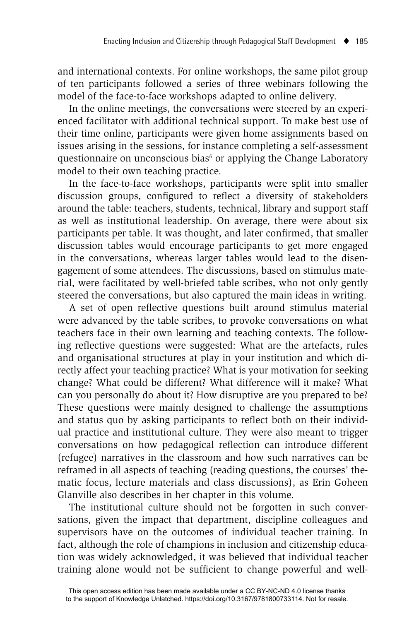and international contexts. For online workshops, the same pilot group of ten participants followed a series of three webinars following the model of the face-to-face workshops adapted to online delivery.

In the online meetings, the conversations were steered by an experienced facilitator with additional technical support. To make best use of their time online, participants were given home assignments based on issues arising in the sessions, for instance completing a self-assessment questionnaire on unconscious bias<sup>6</sup> or applying the Change Laboratory model to their own teaching practice.

In the face-to-face workshops, participants were split into smaller discussion groups, configured to reflect a diversity of stakeholders around the table: teachers, students, technical, library and support staff as well as institutional leadership. On average, there were about six participants per table. It was thought, and later confirmed, that smaller discussion tables would encourage participants to get more engaged in the conversations, whereas larger tables would lead to the disengagement of some attendees. The discussions, based on stimulus material, were facilitated by well-briefed table scribes, who not only gently steered the conversations, but also captured the main ideas in writing.

A set of open reflective questions built around stimulus material were advanced by the table scribes, to provoke conversations on what teachers face in their own learning and teaching contexts. The following reflective questions were suggested: What are the artefacts, rules and organisational structures at play in your institution and which directly affect your teaching practice? What is your motivation for seeking change? What could be different? What difference will it make? What can you personally do about it? How disruptive are you prepared to be? These questions were mainly designed to challenge the assumptions and status quo by asking participants to reflect both on their individual practice and institutional culture. They were also meant to trigger conversations on how pedagogical reflection can introduce different (refugee) narratives in the classroom and how such narratives can be reframed in all aspects of teaching (reading questions, the courses' thematic focus, lecture materials and class discussions), as Erin Goheen Glanville also describes in her chapter in this volume.

The institutional culture should not be forgotten in such conversations, given the impact that department, discipline colleagues and supervisors have on the outcomes of individual teacher training. In fact, although the role of champions in inclusion and citizenship education was widely acknowledged, it was believed that individual teacher training alone would not be sufficient to change powerful and well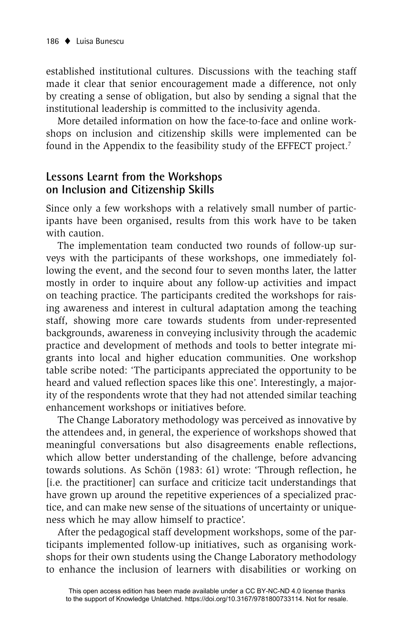established institutional cultures. Discussions with the teaching staff made it clear that senior encouragement made a difference, not only by creating a sense of obligation, but also by sending a signal that the institutional leadership is committed to the inclusivity agenda.

More detailed information on how the face-to-face and online workshops on inclusion and citizenship skills were implemented can be found in the Appendix to the feasibility study of the EFFECT project.7

#### **Lessons Learnt from the Workshops on Inclusion and Citizenship Skills**

Since only a few workshops with a relatively small number of participants have been organised, results from this work have to be taken with caution.

The implementation team conducted two rounds of follow-up surveys with the participants of these workshops, one immediately following the event, and the second four to seven months later, the latter mostly in order to inquire about any follow-up activities and impact on teaching practice. The participants credited the workshops for raising awareness and interest in cultural adaptation among the teaching staff, showing more care towards students from under-represented backgrounds, awareness in conveying inclusivity through the academic practice and development of methods and tools to better integrate migrants into local and higher education communities. One workshop table scribe noted: 'The participants appreciated the opportunity to be heard and valued reflection spaces like this one'. Interestingly, a majority of the respondents wrote that they had not attended similar teaching enhancement workshops or initiatives before.

The Change Laboratory methodology was perceived as innovative by the attendees and, in general, the experience of workshops showed that meaningful conversations but also disagreements enable reflections, which allow better understanding of the challenge, before advancing towards solutions. As Schön (1983: 61) wrote: 'Through reflection, he [i.e. the practitioner] can surface and criticize tacit understandings that have grown up around the repetitive experiences of a specialized practice, and can make new sense of the situations of uncertainty or uniqueness which he may allow himself to practice'.

After the pedagogical staff development workshops, some of the participants implemented follow-up initiatives, such as organising workshops for their own students using the Change Laboratory methodology to enhance the inclusion of learners with disabilities or working on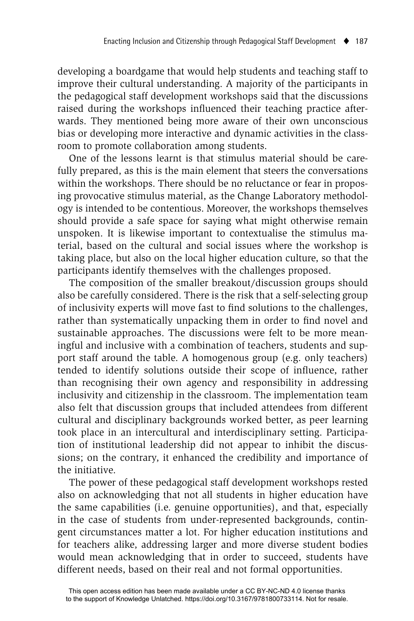developing a boardgame that would help students and teaching staff to improve their cultural understanding. A majority of the participants in the pedagogical staff development workshops said that the discussions raised during the workshops influenced their teaching practice afterwards. They mentioned being more aware of their own unconscious bias or developing more interactive and dynamic activities in the classroom to promote collaboration among students.

One of the lessons learnt is that stimulus material should be carefully prepared, as this is the main element that steers the conversations within the workshops. There should be no reluctance or fear in proposing provocative stimulus material, as the Change Laboratory methodology is intended to be contentious. Moreover, the workshops themselves should provide a safe space for saying what might otherwise remain unspoken. It is likewise important to contextualise the stimulus material, based on the cultural and social issues where the workshop is taking place, but also on the local higher education culture, so that the participants identify themselves with the challenges proposed.

The composition of the smaller breakout/discussion groups should also be carefully considered. There is the risk that a self-selecting group of inclusivity experts will move fast to find solutions to the challenges, rather than systematically unpacking them in order to find novel and sustainable approaches. The discussions were felt to be more meaningful and inclusive with a combination of teachers, students and support staff around the table. A homogenous group (e.g. only teachers) tended to identify solutions outside their scope of influence, rather than recognising their own agency and responsibility in addressing inclusivity and citizenship in the classroom. The implementation team also felt that discussion groups that included attendees from different cultural and disciplinary backgrounds worked better, as peer learning took place in an intercultural and interdisciplinary setting. Participation of institutional leadership did not appear to inhibit the discussions; on the contrary, it enhanced the credibility and importance of the initiative.

The power of these pedagogical staff development workshops rested also on acknowledging that not all students in higher education have the same capabilities (i.e. genuine opportunities), and that, especially in the case of students from under-represented backgrounds, contingent circumstances matter a lot. For higher education institutions and for teachers alike, addressing larger and more diverse student bodies would mean acknowledging that in order to succeed, students have different needs, based on their real and not formal opportunities.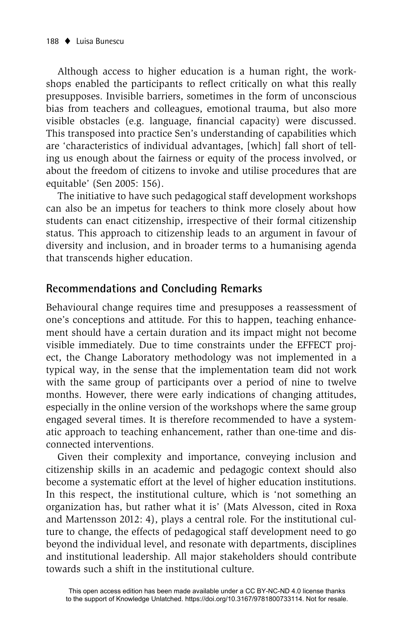Although access to higher education is a human right, the workshops enabled the participants to reflect critically on what this really presupposes. Invisible barriers, sometimes in the form of unconscious bias from teachers and colleagues, emotional trauma, but also more visible obstacles (e.g. language, financial capacity) were discussed. This transposed into practice Sen's understanding of capabilities which are 'characteristics of individual advantages, [which] fall short of telling us enough about the fairness or equity of the process involved, or about the freedom of citizens to invoke and utilise procedures that are equitable' (Sen 2005: 156).

The initiative to have such pedagogical staff development workshops can also be an impetus for teachers to think more closely about how students can enact citizenship, irrespective of their formal citizenship status. This approach to citizenship leads to an argument in favour of diversity and inclusion, and in broader terms to a humanising agenda that transcends higher education.

# **Recommendations and Concluding Remarks**

Behavioural change requires time and presupposes a reassessment of one's conceptions and attitude. For this to happen, teaching enhancement should have a certain duration and its impact might not become visible immediately. Due to time constraints under the EFFECT project, the Change Laboratory methodology was not implemented in a typical way, in the sense that the implementation team did not work with the same group of participants over a period of nine to twelve months. However, there were early indications of changing attitudes, especially in the online version of the workshops where the same group engaged several times. It is therefore recommended to have a systematic approach to teaching enhancement, rather than one-time and disconnected interventions.

Given their complexity and importance, conveying inclusion and citizenship skills in an academic and pedagogic context should also become a systematic effort at the level of higher education institutions. In this respect, the institutional culture, which is 'not something an organization has, but rather what it is' (Mats Alvesson, cited in Roxa and Martensson 2012: 4), plays a central role. For the institutional culture to change, the effects of pedagogical staff development need to go beyond the individual level, and resonate with departments, disciplines and institutional leadership. All major stakeholders should contribute towards such a shift in the institutional culture.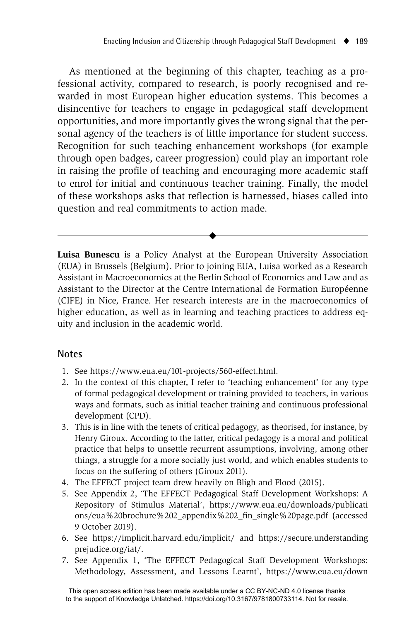As mentioned at the beginning of this chapter, teaching as a professional activity, compared to research, is poorly recognised and rewarded in most European higher education systems. This becomes a disincentive for teachers to engage in pedagogical staff development opportunities, and more importantly gives the wrong signal that the personal agency of the teachers is of little importance for student success. Recognition for such teaching enhancement workshops (for example through open badges, career progression) could play an important role in raising the profile of teaching and encouraging more academic staff to enrol for initial and continuous teacher training. Finally, the model of these workshops asks that reflection is harnessed, biases called into question and real commitments to action made.

**Luisa Bunescu** is a Policy Analyst at the European University Association (EUA) in Brussels (Belgium). Prior to joining EUA, Luisa worked as a Research Assistant in Macroeconomics at the Berlin School of Economics and Law and as Assistant to the Director at the Centre International de Formation Européenne (CIFE) in Nice, France. Her research interests are in the macroeconomics of higher education, as well as in learning and teaching practices to address equity and inclusion in the academic world.

 $\blacklozenge$ 

#### **Notes**

- 1. See https://www.eua.eu/101-projects/560-effect.html.
- 2. In the context of this chapter, I refer to 'teaching enhancement' for any type of formal pedagogical development or training provided to teachers, in various ways and formats, such as initial teacher training and continuous professional development (CPD).
- 3. This is in line with the tenets of critical pedagogy, as theorised, for instance, by Henry Giroux. According to the latter, critical pedagogy is a moral and political practice that helps to unsettle recurrent assumptions, involving, among other things, a struggle for a more socially just world, and which enables students to focus on the suffering of others (Giroux 2011).
- 4. The EFFECT project team drew heavily on Bligh and Flood (2015).
- 5. See Appendix 2, 'The EFFECT Pedagogical Staff Development Workshops: A Repository of Stimulus Material', https://www.eua.eu/downloads/publicati ons/eua%20brochure%202\_appendix%202\_fin\_single%20page.pdf (accessed 9 October 2019).
- 6. See https://implicit.harvard.edu/implicit/ and https://secure.understanding prejudice.org/iat/.
- 7. See Appendix 1, 'The EFFECT Pedagogical Staff Development Workshops: Methodology, Assessment, and Lessons Learnt', https://www.eua.eu/down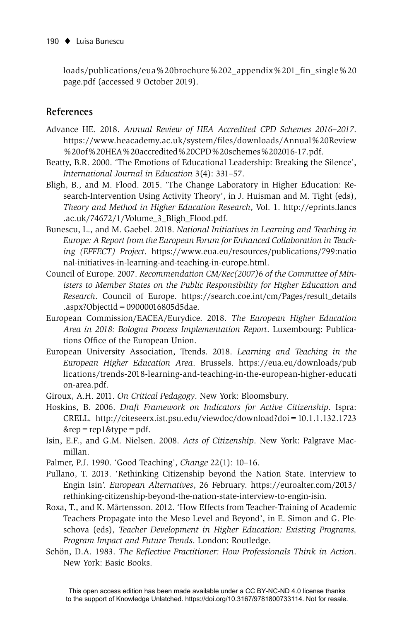loads/publications/eua%20brochure%202\_appendix%201\_fin\_single%20 page.pdf (accessed 9 October 2019).

#### **References**

- Advance HE. 2018. *Annual Review of HEA Accredited CPD Schemes 2016–2017*. https://www.heacademy.ac.uk/system/files/downloads/Annual%20Review %20of%20HEA%20accredited%20CPD%20schemes%202016-17.pdf.
- Beatty, B.R. 2000. 'The Emotions of Educational Leadership: Breaking the Silence', *International Journal in Education* 3(4): 331–57.
- Bligh, B., and M. Flood. 2015. 'The Change Laboratory in Higher Education: Research-Intervention Using Activity Theory', in J. Huisman and M. Tight (eds), *Theory and Method in Higher Education Research*, Vol. 1. http://eprints.lancs .ac.uk/74672/1/Volume\_3\_Bligh\_Flood.pdf.
- Bunescu, L., and M. Gaebel. 2018. *National Initiatives in Learning and Teaching in Europe: A Report from the European Forum for Enhanced Collaboration in Teaching (EFFECT) Project*. https://www.eua.eu/resources/publications/799:natio nal-initiatives-in-learning-and-teaching-in-europe.html.
- Council of Europe. 2007. *Recommendation CM/Rec(2007)6 of the Committee of Ministers to Member States on the Public Responsibility for Higher Education and Research*. Council of Europe. https://search.coe.int/cm/Pages/result\_details .aspx?ObjectId=09000016805d5dae.
- European Commission/EACEA/Eurydice. 2018. *The European Higher Education Area in 2018: Bologna Process Implementation Report*. Luxembourg: Publications Office of the European Union.
- European University Association, Trends. 2018. *Learning and Teaching in the European Higher Education Area*. Brussels. https://eua.eu/downloads/pub lications/trends-2018-learning-and-teaching-in-the-european-higher-educati on-area.pdf.
- Giroux, A.H. 2011. *On Critical Pedagogy*. New York: Bloomsbury.
- Hoskins, B. 2006. *Draft Framework on Indicators for Active Citizenship*. Ispra: CRELL. http://citeseerx.ist.psu.edu/viewdoc/download?doi=10.1.1.132.1723  $\&$ rep = rep1 $\&$ type = pdf.
- Isin, E.F., and G.M. Nielsen. 2008. *Acts of Citizenship*. New York: Palgrave Macmillan.
- Palmer, P.J. 1990. 'Good Teaching', *Change* 22(1): 10–16.
- Pullano, T. 2013. 'Rethinking Citizenship beyond the Nation State. Interview to Engin Isin'. *European Alternatives*, 26 February. https://euroalter.com/2013/ rethinking-citizenship-beyond-the-nation-state-interview-to-engin-isin.
- Roxa, T., and K. Mårtensson. 2012. 'How Effects from Teacher-Training of Academic Teachers Propagate into the Meso Level and Beyond', in E. Simon and G. Pleschova (eds), *Teacher Development in Higher Education: Existing Programs, Program Impact and Future Trends*. London: Routledge.
- Schön, D.A. 1983. *The Reflective Practitioner: How Professionals Think in Action.* New York: Basic Books.